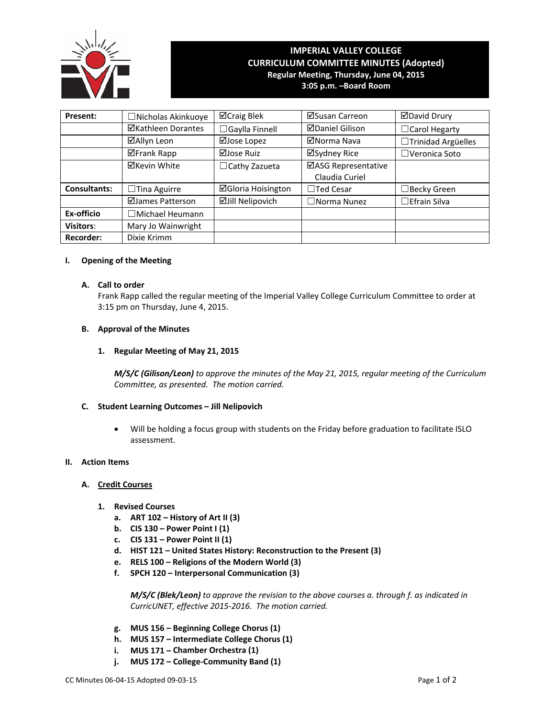

# **IMPERIAL VALLEY COLLEGE CURRICULUM COMMITTEE MINUTES (Adopted) Regular Meeting, Thursday, June 04, 2015 3:05 p.m. –Board Room**

**Present:** ┃ □Nicholas Akinkuoye ┃ ⊠Craig Blek ┃ ⊠Susan Carreon ┃ ⊠David Drury **ØKathleen Dorantes │ □Gaylla Finnell │ ØDaniel Gilison │ □Carol Hegarty ⊠Allyn Leon** | ⊠Jose Lopez | ⊠Norma Nava | □Trinidad Argüelles ⊠Frank Rapp | ⊠Jose Ruiz | ⊠Sydney Rice | □Veronica Soto  $\boxtimes$ Kevin White  $\Box$ Cathy Zazueta  $\Box$ ASG Representative Claudia Curiel **Consultants:** □ Tina Aguirre **Gloria Hoisington** □ Ted Cesar I □Becky Green  $\Box$ James Patterson  $\Box$ Jill Nelipovich  $\Box$  Norma Nunez  $\Box$ Efrain Silva **Ex‐officio** ☐Michael Heumann **Visitors:** Mary Jo Wainwright **Recorder:** | Dixie Krimm

# **I. Opening of the Meeting**

### **A. Call to order**

Frank Rapp called the regular meeting of the Imperial Valley College Curriculum Committee to order at 3:15 pm on Thursday, June 4, 2015.

### **B. Approval of the Minutes**

### **1. Regular Meeting of May 21, 2015**

*M/S/C (Gilison/Leon) to approve the minutes of the May 21, 2015, regular meeting of the Curriculum Committee, as presented. The motion carried.*

# **C. Student Learning Outcomes – Jill Nelipovich**

 Will be holding a focus group with students on the Friday before graduation to facilitate ISLO assessment.

#### **II. Action Items**

### **A. Credit Courses**

- **1. Revised Courses**
	- **a. ART 102 – History of Art II (3)**
	- **b. CIS 130 – Power Point I (1)**
	- **c. CIS 131 – Power Point II (1)**
	- **d. HIST 121 – United States History: Reconstruction to the Present (3)**
	- **e. RELS 100 – Religions of the Modern World (3)**
	- **f. SPCH 120 – Interpersonal Communication (3)**

*M/S/C (Blek/Leon) to approve the revision to the above courses a. through f. as indicated in CurricUNET, effective 2015‐2016. The motion carried.*

- **g. MUS 156 – Beginning College Chorus (1)**
- **h. MUS 157 – Intermediate College Chorus (1)**
- **i. MUS 171 – Chamber Orchestra (1)**
- **j. MUS 172 – College‐Community Band (1)**